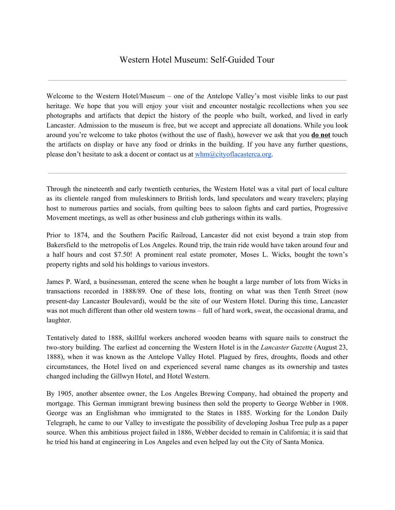Welcome to the Western Hotel/Museum – one of the Antelope Valley's most visible links to our past heritage. We hope that you will enjoy your visit and encounter nostalgic recollections when you see photographs and artifacts that depict the history of the people who built, worked, and lived in early Lancaster. Admission to the museum is free, but we accept and appreciate all donations. While you look around you're welcome to take photos (without the use of flash), however we ask that you **do not** touch the artifacts on display or have any food or drinks in the building. If you have any further questions, please don't hesitate to ask a docent or contact us at  $whm@cityoflacasterca.org.$ 

Through the nineteenth and early twentieth centuries, the Western Hotel was a vital part of local culture as its clientele ranged from muleskinners to British lords, land speculators and weary travelers; playing host to numerous parties and socials, from quilting bees to saloon fights and card parties, Progressive Movement meetings, as well as other business and club gatherings within its walls.

Prior to 1874, and the Southern Pacific Railroad, Lancaster did not exist beyond a train stop from Bakersfield to the metropolis of Los Angeles. Round trip, the train ride would have taken around four and a half hours and cost \$7.50! A prominent real estate promoter, Moses L. Wicks, bought the town's property rights and sold his holdings to various investors.

James P. Ward, a businessman, entered the scene when he bought a large number of lots from Wicks in transactions recorded in 1888/89. One of these lots, fronting on what was then Tenth Street (now present-day Lancaster Boulevard), would be the site of our Western Hotel. During this time, Lancaster was not much different than other old western towns – full of hard work, sweat, the occasional drama, and laughter.

Tentatively dated to 1888, skillful workers anchored wooden beams with square nails to construct the two-story building. The earliest ad concerning the Western Hotel is in the *Lancaster Gazett*e (August 23, 1888), when it was known as the Antelope Valley Hotel. Plagued by fires, droughts, floods and other circumstances, the Hotel lived on and experienced several name changes as its ownership and tastes changed including the Gillwyn Hotel, and Hotel Western.

By 1905, another absentee owner, the Los Angeles Brewing Company, had obtained the property and mortgage. This German immigrant brewing business then sold the property to George Webber in 1908. George was an Englishman who immigrated to the States in 1885. Working for the London Daily Telegraph, he came to our Valley to investigate the possibility of developing Joshua Tree pulp as a paper source. When this ambitious project failed in 1886, Webber decided to remain in California; it is said that he tried his hand at engineering in Los Angeles and even helped lay out the City of Santa Monica.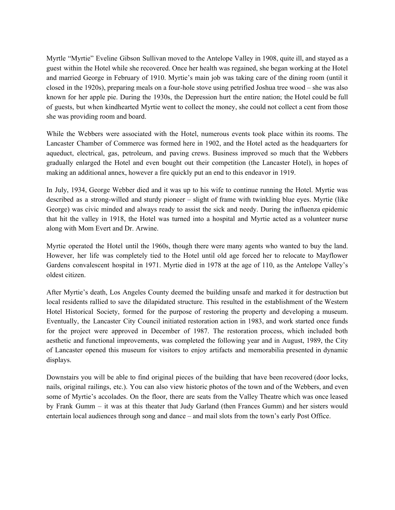Myrtle "Myrtie" Eveline Gibson Sullivan moved to the Antelope Valley in 1908, quite ill, and stayed as a guest within the Hotel while she recovered. Once her health was regained, she began working at the Hotel and married George in February of 1910. Myrtie's main job was taking care of the dining room (until it closed in the 1920s), preparing meals on a four-hole stove using petrified Joshua tree wood – she was also known for her apple pie. During the 1930s, the Depression hurt the entire nation; the Hotel could be full of guests, but when kindhearted Myrtie went to collect the money, she could not collect a cent from those she was providing room and board.

While the Webbers were associated with the Hotel, numerous events took place within its rooms. The Lancaster Chamber of Commerce was formed here in 1902, and the Hotel acted as the headquarters for aqueduct, electrical, gas, petroleum, and paving crews. Business improved so much that the Webbers gradually enlarged the Hotel and even bought out their competition (the Lancaster Hotel), in hopes of making an additional annex, however a fire quickly put an end to this endeavor in 1919.

In July, 1934, George Webber died and it was up to his wife to continue running the Hotel. Myrtie was described as a strong-willed and sturdy pioneer – slight of frame with twinkling blue eyes. Myrtie (like George) was civic minded and always ready to assist the sick and needy. During the influenza epidemic that hit the valley in 1918, the Hotel was turned into a hospital and Myrtie acted as a volunteer nurse along with Mom Evert and Dr. Arwine.

Myrtie operated the Hotel until the 1960s, though there were many agents who wanted to buy the land. However, her life was completely tied to the Hotel until old age forced her to relocate to Mayflower Gardens convalescent hospital in 1971. Myrtie died in 1978 at the age of 110, as the Antelope Valley's oldest citizen.

After Myrtie's death, Los Angeles County deemed the building unsafe and marked it for destruction but local residents rallied to save the dilapidated structure. This resulted in the establishment of the Western Hotel Historical Society, formed for the purpose of restoring the property and developing a museum. Eventually, the Lancaster City Council initiated restoration action in 1983, and work started once funds for the project were approved in December of 1987. The restoration process, which included both aesthetic and functional improvements, was completed the following year and in August, 1989, the City of Lancaster opened this museum for visitors to enjoy artifacts and memorabilia presented in dynamic displays.

Downstairs you will be able to find original pieces of the building that have been recovered (door locks, nails, original railings, etc.). You can also view historic photos of the town and of the Webbers, and even some of Myrtie's accolades. On the floor, there are seats from the Valley Theatre which was once leased by Frank Gumm – it was at this theater that Judy Garland (then Frances Gumm) and her sisters would entertain local audiences through song and dance – and mail slots from the town's early Post Office.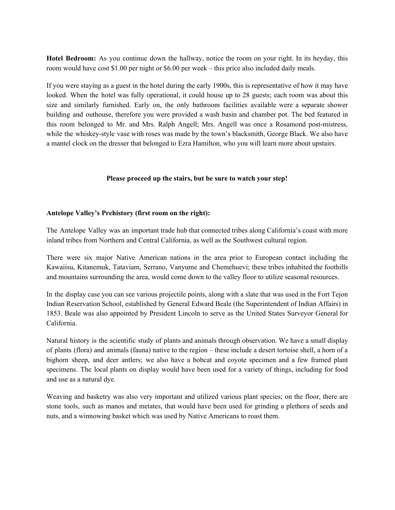**Hotel Bedroom:** As you continue down the hallway, notice the room on your right. In its heyday, this room would have cost \$1.00 per night or \$6.00 per week – this price also included daily meals.

If you were staying as a guest in the hotel during the early 1900s, this is representative of how it may have looked. When the hotel was fully operational, it could house up to 28 guests; each room was about this size and similarly furnished. Early on, the only bathroom facilities available were a separate shower building and outhouse, therefore you were provided a wash basin and chamber pot. The bed featured in this room belonged to Mr. and Mrs. Ralph Angell; Mrs. Angell was once a Rosamond post-mistress, while the whiskey-style vase with roses was made by the town's blacksmith, George Black. We also have a mantel clock on the dresser that belonged to Ezra Hamilton, who you will learn more about upstairs.

#### **Please proceed up the stairs, but be sure to watch your step!**

#### **Antelope Valley's Prehistory (first room on the right):**

The Antelope Valley was an important trade hub that connected tribes along California's coast with more inland tribes from Northern and Central California, as well as the Southwest cultural region.

There were six major Native American nations in the area prior to European contact including the Kawaiisu, Kitanemuk, Tataviam, Serrano, Vanyume and Chemehuevi; these tribes inhabited the foothills and mountains surrounding the area, would come down to the valley floor to utilize seasonal resources.

In the display case you can see various projectile points, along with a slate that was used in the Fort Tejon Indian Reservation School, established by General Edward Beale (the Superintendent of Indian Affairs) in 1853. Beale was also appointed by President Lincoln to serve as the United States Surveyor General for California.

Natural history is the scientific study of plants and animals through observation. We have a small display of plants (flora) and animals (fauna) native to the region – these include a desert tortoise shell, a horn of a bighorn sheep, and deer antlers; we also have a bobcat and coyote specimen and a few framed plant specimens. The local plants on display would have been used for a variety of things, including for food and use as a natural dye.

Weaving and basketry was also very important and utilized various plant species; on the floor, there are stone tools, such as manos and metates, that would have been used for grinding a plethora of seeds and nuts, and a winnowing basket which was used by Native Americans to roast them.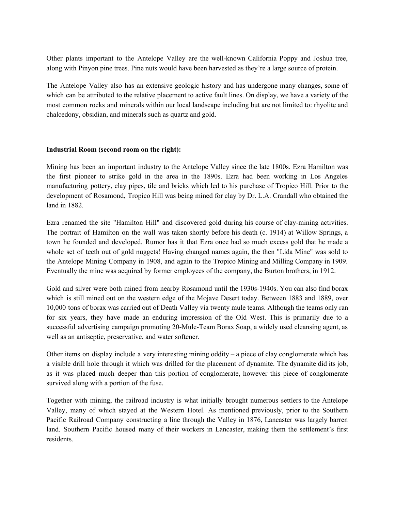Other plants important to the Antelope Valley are the well-known California Poppy and Joshua tree, along with Pinyon pine trees. Pine nuts would have been harvested as they're a large source of protein.

The Antelope Valley also has an extensive geologic history and has undergone many changes, some of which can be attributed to the relative placement to active fault lines. On display, we have a variety of the most common rocks and minerals within our local landscape including but are not limited to: rhyolite and chalcedony, obsidian, and minerals such as quartz and gold.

## **Industrial Room (second room on the right):**

Mining has been an important industry to the Antelope Valley since the late 1800s. Ezra Hamilton was the first pioneer to strike gold in the area in the 1890s. Ezra had been working in Los Angeles manufacturing pottery, clay pipes, tile and bricks which led to his purchase of Tropico Hill. Prior to the development of Rosamond, Tropico Hill was being mined for clay by Dr. L.A. Crandall who obtained the land in 1882.

Ezra renamed the site "Hamilton Hill" and discovered gold during his course of clay-mining activities. The portrait of Hamilton on the wall was taken shortly before his death (c. 1914) at Willow Springs, a town he founded and developed. Rumor has it that Ezra once had so much excess gold that he made a whole set of teeth out of gold nuggets! Having changed names again, the then "Lida Mine" was sold to the Antelope Mining Company in 1908, and again to the Tropico Mining and Milling Company in 1909. Eventually the mine was acquired by former employees of the company, the Burton brothers, in 1912.

Gold and silver were both mined from nearby Rosamond until the 1930s-1940s. You can also find borax which is still mined out on the western edge of the Mojave Desert today. Between 1883 and 1889, over 10,000 tons of borax was carried out of Death Valley via twenty mule teams. Although the teams only ran for six years, they have made an enduring impression of the Old West. This is primarily due to a successful advertising campaign promoting 20-Mule-Team Borax Soap, a widely used cleansing agent, as well as an antiseptic, preservative, and water softener.

Other items on display include a very interesting mining oddity – a piece of clay conglomerate which has a visible drill hole through it which was drilled for the placement of dynamite. The dynamite did its job, as it was placed much deeper than this portion of conglomerate, however this piece of conglomerate survived along with a portion of the fuse.

Together with mining, the railroad industry is what initially brought numerous settlers to the Antelope Valley, many of which stayed at the Western Hotel. As mentioned previously, prior to the Southern Pacific Railroad Company constructing a line through the Valley in 1876, Lancaster was largely barren land. Southern Pacific housed many of their workers in Lancaster, making them the settlement's first residents.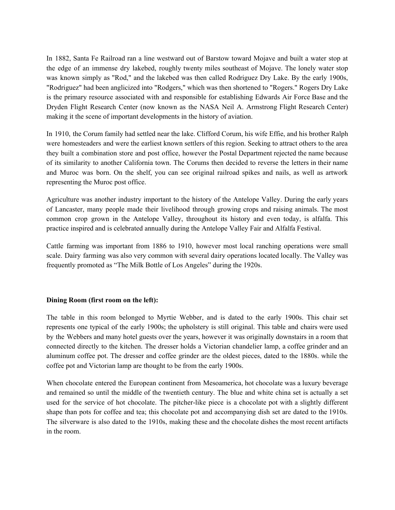In 1882, Santa Fe Railroad ran a line westward out of Barstow toward Mojave and built a water stop at the edge of an immense dry lakebed, roughly twenty miles southeast of Mojave. The lonely water stop was known simply as "Rod," and the lakebed was then called Rodriguez Dry Lake. By the early 1900s, "Rodriguez" had been anglicized into "Rodgers," which was then shortened to "Rogers." Rogers Dry Lake is the primary resource associated with and responsible for establishing Edwards Air Force Base and the Dryden Flight Research Center (now known as the NASA Neil A. Armstrong Flight Research Center) making it the scene of important developments in the history of aviation.

In 1910, the Corum family had settled near the lake. Clifford Corum, his wife Effie, and his brother Ralph were homesteaders and were the earliest known settlers of this region. Seeking to attract others to the area they built a combination store and post office, however the Postal Department rejected the name because of its similarity to another California town. The Corums then decided to reverse the letters in their name and Muroc was born. On the shelf, you can see original railroad spikes and nails, as well as artwork representing the Muroc post office.

Agriculture was another industry important to the history of the Antelope Valley. During the early years of Lancaster, many people made their livelihood through growing crops and raising animals. The most common crop grown in the Antelope Valley, throughout its history and even today, is alfalfa. This practice inspired and is celebrated annually during the Antelope Valley Fair and Alfalfa Festival.

Cattle farming was important from 1886 to 1910, however most local ranching operations were small scale. Dairy farming was also very common with several dairy operations located locally. The Valley was frequently promoted as "The Milk Bottle of Los Angeles" during the 1920s.

## **Dining Room (first room on the left):**

The table in this room belonged to Myrtie Webber, and is dated to the early 1900s. This chair set represents one typical of the early 1900s; the upholstery is still original. This table and chairs were used by the Webbers and many hotel guests over the years, however it was originally downstairs in a room that connected directly to the kitchen. The dresser holds a Victorian chandelier lamp, a coffee grinder and an aluminum coffee pot. The dresser and coffee grinder are the oldest pieces, dated to the 1880s. while the coffee pot and Victorian lamp are thought to be from the early 1900s.

When chocolate entered the European continent from Mesoamerica, hot chocolate was a luxury beverage and remained so until the middle of the twentieth century. The blue and white china set is actually a set used for the service of hot chocolate. The pitcher-like piece is a chocolate pot with a slightly different shape than pots for coffee and tea; this chocolate pot and accompanying dish set are dated to the 1910s. The silverware is also dated to the 1910s, making these and the chocolate dishes the most recent artifacts in the room.